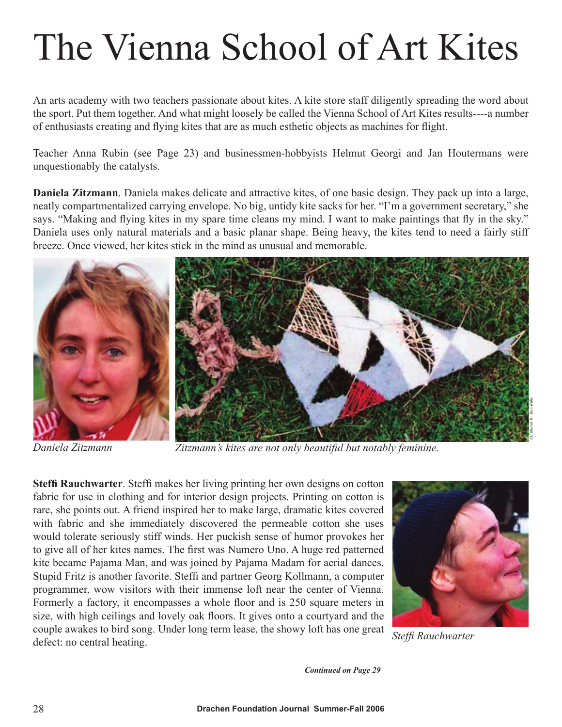## The Vienna School of Art Kites

An arts academy with two teachers passionate about kites. A kite store staff diligently spreading the word about the sport. Put them together. And what might loosely be called the Vienna School of Art Kites results----a number of enthusiasts creating and flying kites that are as much esthetic objects as machines for flight.

Teacher Anna Rubin (see Page 23) and businessmen-hobbyists Helmut Georgi and Jan Houtermans were unquestionably the catalysts.

**Daniela Zitzmann**. Daniela makes delicate and attractive kites, of one basic design. They pack up into a large, neatly compartmentalized carrying envelope. No big, untidy kite sacks for her. "I'm a government secretary," she says. "Making and flying kites in my spare time cleans my mind. I want to make paintings that fly in the sky." Daniela uses only natural materials and a basic planar shape. Being heavy, the kites tend to need a fairly stiff breeze. Once viewed, her kites stick in the mind as unusual and memorable.



*Daniela Zitzmann Zitzmann's kites are not only beautiful but notably feminine.* 

**Steffi Rauchwarter**. Steffi makes her living printing her own designs on cotton fabric for use in clothing and for interior design projects. Printing on cotton is rare, she points out. A friend inspired her to make large, dramatic kites covered with fabric and she immediately discovered the permeable cotton she uses would tolerate seriously stiff winds. Her puckish sense of humor provokes her to give all of her kites names. The first was Numero Uno. A huge red patterned kite became Pajama Man, and was joined by Pajama Madam for aerial dances. Stupid Fritz is another favorite. Steffi and partner Georg Kollmann, a computer programmer, wow visitors with their immense loft near the center of Vienna. Formerly a factory, it encompasses a whole floor and is 250 square meters in size, with high ceilings and lovely oak floors. It gives onto a courtyard and the couple awakes to bird song. Under long term lease, the showy loft has one great defect: no central heating. *Steffi Rauchwarter*



*Continued on Page 29*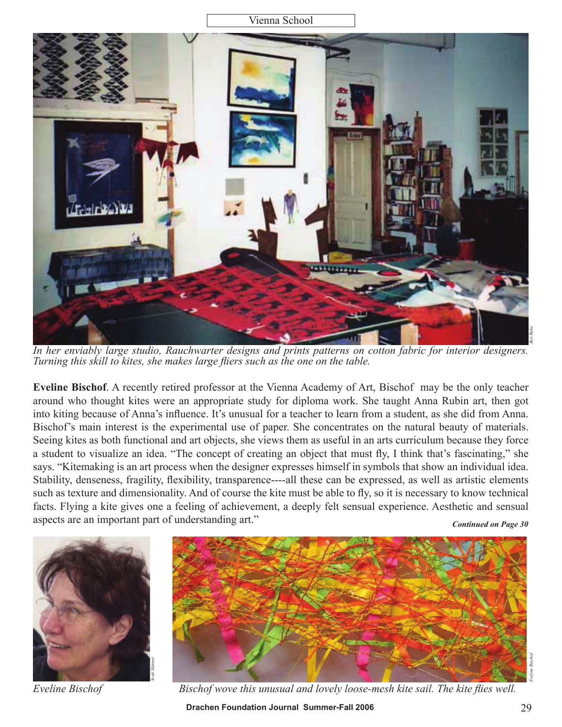Vienna School



*In her enviably large studio, Rauchwarter designs and prints patterns on cotton fabric for interior designers. Turning this skill to kites, she makes large fliers such as the one on the table.*

**Eveline Bischof**. A recently retired professor at the Vienna Academy of Art, Bischof may be the only teacher around who thought kites were an appropriate study for diploma work. She taught Anna Rubin art, then got into kiting because of Anna's influence. It's unusual for a teacher to learn from a student, as she did from Anna. Bischof's main interest is the experimental use of paper. She concentrates on the natural beauty of materials. Seeing kites as both functional and art objects, she views them as useful in an arts curriculum because they force a student to visualize an idea. "The concept of creating an object that must fly, I think that's fascinating," she says. "Kitemaking is an art process when the designer expresses himself in symbols that show an individual idea. Stability, denseness, fragility, flexibility, transparence----all these can be expressed, as well as artistic elements such as texture and dimensionality. And of course the kite must be able to fly, so it is necessary to know technical facts. Flying a kite gives one a feeling of achievement, a deeply felt sensual experience. Aesthetic and sensual aspects are an important part of understanding art."

*Continued on Page 30*



*Eveline Bischof*



**Drachen Foundation Journal Summer-Fall 2006** 29 *Bischof wove this unusual and lovely loose-mesh kite sail. The kite flies well.*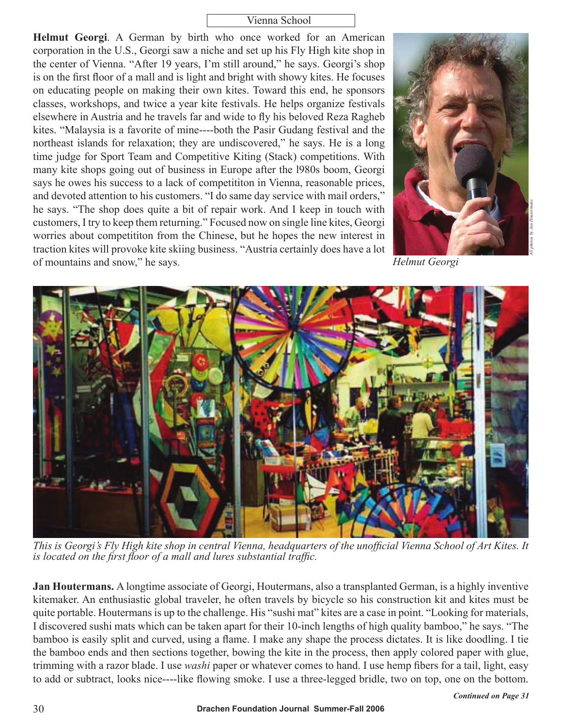## Vienna School

**Helmut Georgi**. A German by birth who once worked for an American corporation in the U.S., Georgi saw a niche and set up his Fly High kite shop in the center of Vienna. "After 19 years, I'm still around," he says. Georgi's shop is on the first floor of a mall and is light and bright with showy kites. He focuses on educating people on making their own kites. Toward this end, he sponsors classes, workshops, and twice a year kite festivals. He helps organize festivals elsewhere in Austria and he travels far and wide to fly his beloved Reza Ragheb kites. "Malaysia is a favorite of mine----both the Pasir Gudang festival and the northeast islands for relaxation; they are undiscovered," he says. He is a long time judge for Sport Team and Competitive Kiting (Stack) competitions. With many kite shops going out of business in Europe after the l980s boom, Georgi says he owes his success to a lack of competititon in Vienna, reasonable prices, and devoted attention to his customers. "I do same day service with mail orders," he says. "The shop does quite a bit of repair work. And I keep in touch with customers, I try to keep them returning." Focused now on single line kites, Georgi worries about competititon from the Chinese, but he hopes the new interest in traction kites will provoke kite skiing business. "Austria certainly does have a lot of mountains and snow," he says. *Helmut Georgi*





*This is Georgi's Fly High kite shop in central Vienna, headquarters of the unofficial Vienna School of Art Kites. It is located on the first floor of a mall and lures substantial traffic.*

**Jan Houtermans.** A longtime associate of Georgi, Houtermans, also a transplanted German, is a highly inventive kitemaker. An enthusiastic global traveler, he often travels by bicycle so his construction kit and kites must be quite portable. Houtermans is up to the challenge. His "sushi mat" kites are a case in point. "Looking for materials, I discovered sushi mats which can be taken apart for their 10-inch lengths of high quality bamboo," he says. "The bamboo is easily split and curved, using a flame. I make any shape the process dictates. It is like doodling. I tie the bamboo ends and then sections together, bowing the kite in the process, then apply colored paper with glue, trimming with a razor blade. I use *washi* paper or whatever comes to hand. I use hemp fibers for a tail, light, easy to add or subtract, looks nice----like flowing smoke. I use a three-legged bridle, two on top, one on the bottom.